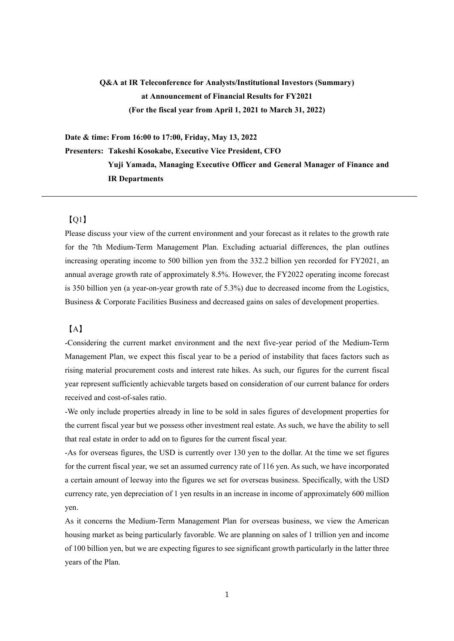# **Q&A at IR Teleconference for Analysts/Institutional Investors (Summary) at Announcement of Financial Results for FY2021 (For the fiscal year from April 1, 2021 to March 31, 2022)**

**Date & time: From 16:00 to 17:00, Friday, May 13, 2022** 

**Presenters: Takeshi Kosokabe, Executive Vice President, CFO** 

**Yuji Yamada, Managing Executive Officer and General Manager of Finance and IR Departments** 

## $[O1]$

Please discuss your view of the current environment and your forecast as it relates to the growth rate for the 7th Medium-Term Management Plan. Excluding actuarial differences, the plan outlines increasing operating income to 500 billion yen from the 332.2 billion yen recorded for FY2021, an annual average growth rate of approximately 8.5%. However, the FY2022 operating income forecast is 350 billion yen (a year-on-year growth rate of 5.3%) due to decreased income from the Logistics, Business & Corporate Facilities Business and decreased gains on sales of development properties.

#### 【A】

-Considering the current market environment and the next five-year period of the Medium-Term Management Plan, we expect this fiscal year to be a period of instability that faces factors such as rising material procurement costs and interest rate hikes. As such, our figures for the current fiscal year represent sufficiently achievable targets based on consideration of our current balance for orders received and cost-of-sales ratio.

-We only include properties already in line to be sold in sales figures of development properties for the current fiscal year but we possess other investment real estate. As such, we have the ability to sell that real estate in order to add on to figures for the current fiscal year.

-As for overseas figures, the USD is currently over 130 yen to the dollar. At the time we set figures for the current fiscal year, we set an assumed currency rate of 116 yen. As such, we have incorporated a certain amount of leeway into the figures we set for overseas business. Specifically, with the USD currency rate, yen depreciation of 1 yen results in an increase in income of approximately 600 million yen.

As it concerns the Medium-Term Management Plan for overseas business, we view the American housing market as being particularly favorable. We are planning on sales of 1 trillion yen and income of 100 billion yen, but we are expecting figures to see significant growth particularly in the latter three years of the Plan.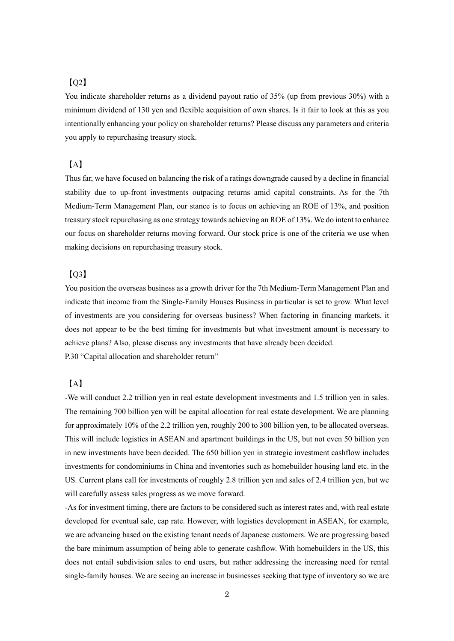## $IO2]$

You indicate shareholder returns as a dividend payout ratio of 35% (up from previous 30%) with a minimum dividend of 130 yen and flexible acquisition of own shares. Is it fair to look at this as you intentionally enhancing your policy on shareholder returns? Please discuss any parameters and criteria you apply to repurchasing treasury stock.

## 【A】

Thus far, we have focused on balancing the risk of a ratings downgrade caused by a decline in financial stability due to up-front investments outpacing returns amid capital constraints. As for the 7th Medium-Term Management Plan, our stance is to focus on achieving an ROE of 13%, and position treasury stock repurchasing as one strategy towards achieving an ROE of 13%. We do intent to enhance our focus on shareholder returns moving forward. Our stock price is one of the criteria we use when making decisions on repurchasing treasury stock.

### $[O3]$

You position the overseas business as a growth driver for the 7th Medium-Term Management Plan and indicate that income from the Single-Family Houses Business in particular is set to grow. What level of investments are you considering for overseas business? When factoring in financing markets, it does not appear to be the best timing for investments but what investment amount is necessary to achieve plans? Also, please discuss any investments that have already been decided. P.30 "Capital allocation and shareholder return"

# 【A】

-We will conduct 2.2 trillion yen in real estate development investments and 1.5 trillion yen in sales. The remaining 700 billion yen will be capital allocation for real estate development. We are planning for approximately 10% of the 2.2 trillion yen, roughly 200 to 300 billion yen, to be allocated overseas. This will include logistics in ASEAN and apartment buildings in the US, but not even 50 billion yen in new investments have been decided. The 650 billion yen in strategic investment cashflow includes investments for condominiums in China and inventories such as homebuilder housing land etc. in the US. Current plans call for investments of roughly 2.8 trillion yen and sales of 2.4 trillion yen, but we will carefully assess sales progress as we move forward.

-As for investment timing, there are factors to be considered such as interest rates and, with real estate developed for eventual sale, cap rate. However, with logistics development in ASEAN, for example, we are advancing based on the existing tenant needs of Japanese customers. We are progressing based the bare minimum assumption of being able to generate cashflow. With homebuilders in the US, this does not entail subdivision sales to end users, but rather addressing the increasing need for rental single-family houses. We are seeing an increase in businesses seeking that type of inventory so we are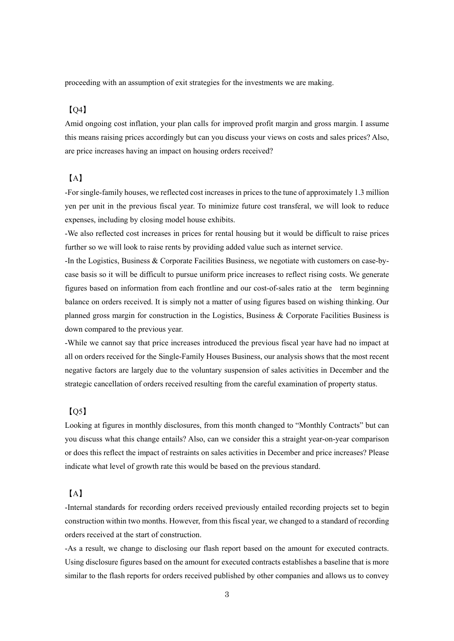proceeding with an assumption of exit strategies for the investments we are making.

#### $IO4]$

Amid ongoing cost inflation, your plan calls for improved profit margin and gross margin. I assume this means raising prices accordingly but can you discuss your views on costs and sales prices? Also, are price increases having an impact on housing orders received?

## 【A】

-For single-family houses, we reflected cost increases in prices to the tune of approximately 1.3 million yen per unit in the previous fiscal year. To minimize future cost transferal, we will look to reduce expenses, including by closing model house exhibits.

-We also reflected cost increases in prices for rental housing but it would be difficult to raise prices further so we will look to raise rents by providing added value such as internet service.

-In the Logistics, Business & Corporate Facilities Business, we negotiate with customers on case-bycase basis so it will be difficult to pursue uniform price increases to reflect rising costs. We generate figures based on information from each frontline and our cost-of-sales ratio at the term beginning balance on orders received. It is simply not a matter of using figures based on wishing thinking. Our planned gross margin for construction in the Logistics, Business & Corporate Facilities Business is down compared to the previous year.

-While we cannot say that price increases introduced the previous fiscal year have had no impact at all on orders received for the Single-Family Houses Business, our analysis shows that the most recent negative factors are largely due to the voluntary suspension of sales activities in December and the strategic cancellation of orders received resulting from the careful examination of property status.

## $[05]$

Looking at figures in monthly disclosures, from this month changed to "Monthly Contracts" but can you discuss what this change entails? Also, can we consider this a straight year-on-year comparison or does this reflect the impact of restraints on sales activities in December and price increases? Please indicate what level of growth rate this would be based on the previous standard.

#### 【A】

-Internal standards for recording orders received previously entailed recording projects set to begin construction within two months. However, from this fiscal year, we changed to a standard of recording orders received at the start of construction.

-As a result, we change to disclosing our flash report based on the amount for executed contracts. Using disclosure figures based on the amount for executed contracts establishes a baseline that is more similar to the flash reports for orders received published by other companies and allows us to convey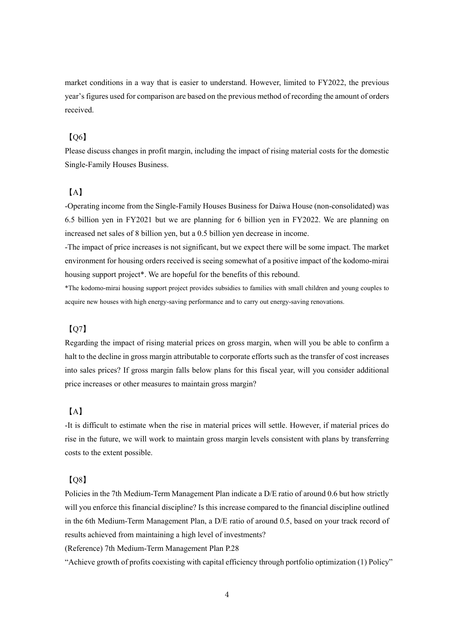market conditions in a way that is easier to understand. However, limited to FY2022, the previous year's figures used for comparison are based on the previous method of recording the amount of orders received.

#### $IO6]$

Please discuss changes in profit margin, including the impact of rising material costs for the domestic Single-Family Houses Business.

#### 【A】

-Operating income from the Single-Family Houses Business for Daiwa House (non-consolidated) was 6.5 billion yen in FY2021 but we are planning for 6 billion yen in FY2022. We are planning on increased net sales of 8 billion yen, but a 0.5 billion yen decrease in income.

-The impact of price increases is not significant, but we expect there will be some impact. The market environment for housing orders received is seeing somewhat of a positive impact of the kodomo-mirai housing support project\*. We are hopeful for the benefits of this rebound.

\*The kodomo-mirai housing support project provides subsidies to families with small children and young couples to acquire new houses with high energy-saving performance and to carry out energy-saving renovations.

## 【Q7】

Regarding the impact of rising material prices on gross margin, when will you be able to confirm a halt to the decline in gross margin attributable to corporate efforts such as the transfer of cost increases into sales prices? If gross margin falls below plans for this fiscal year, will you consider additional price increases or other measures to maintain gross margin?

## 【A】

-It is difficult to estimate when the rise in material prices will settle. However, if material prices do rise in the future, we will work to maintain gross margin levels consistent with plans by transferring costs to the extent possible.

#### $[0.8]$

Policies in the 7th Medium-Term Management Plan indicate a D/E ratio of around 0.6 but how strictly will you enforce this financial discipline? Is this increase compared to the financial discipline outlined in the 6th Medium-Term Management Plan, a D/E ratio of around 0.5, based on your track record of results achieved from maintaining a high level of investments?

(Reference) 7th Medium-Term Management Plan P.28

"Achieve growth of profits coexisting with capital efficiency through portfolio optimization (1) Policy"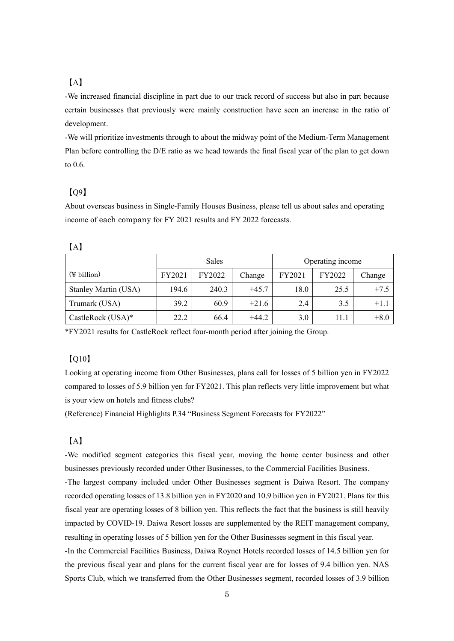# 【A】

-We increased financial discipline in part due to our track record of success but also in part because certain businesses that previously were mainly construction have seen an increase in the ratio of development.

-We will prioritize investments through to about the midway point of the Medium-Term Management Plan before controlling the D/E ratio as we head towards the final fiscal year of the plan to get down to 0.6.

## 【Q9】

About overseas business in Single-Family Houses Business, please tell us about sales and operating income of each company for FY 2021 results and FY 2022 forecasts.

|                           | <b>Sales</b> |        |         | Operating income |        |        |
|---------------------------|--------------|--------|---------|------------------|--------|--------|
| $(\nPsi \text{ billion})$ | FY2021       | FY2022 | Change  | FY2021           | FY2022 | Change |
| Stanley Martin (USA)      | 194.6        | 240.3  | $+45.7$ | 18.0             | 25.5   | $+7.5$ |
| Trumark (USA)             | 39.2         | 60.9   | $+21.6$ | 2.4              | 3.5    | $+1.1$ |
| CastleRock (USA)*         | 22.2         | 66.4   | $+44.2$ | 3.0              | 11.1   | $+8.0$ |

\*FY2021 results for CastleRock reflect four-month period after joining the Group.

## 【Q10】

Looking at operating income from Other Businesses, plans call for losses of 5 billion yen in FY2022 compared to losses of 5.9 billion yen for FY2021. This plan reflects very little improvement but what is your view on hotels and fitness clubs?

(Reference) Financial Highlights P.34 "Business Segment Forecasts for FY2022"

#### 【A】

-We modified segment categories this fiscal year, moving the home center business and other businesses previously recorded under Other Businesses, to the Commercial Facilities Business. -The largest company included under Other Businesses segment is Daiwa Resort. The company recorded operating losses of 13.8 billion yen in FY2020 and 10.9 billion yen in FY2021. Plans for this fiscal year are operating losses of 8 billion yen. This reflects the fact that the business is still heavily impacted by COVID-19. Daiwa Resort losses are supplemented by the REIT management company, resulting in operating losses of 5 billion yen for the Other Businesses segment in this fiscal year. -In the Commercial Facilities Business, Daiwa Roynet Hotels recorded losses of 14.5 billion yen for the previous fiscal year and plans for the current fiscal year are for losses of 9.4 billion yen. NAS Sports Club, which we transferred from the Other Businesses segment, recorded losses of 3.9 billion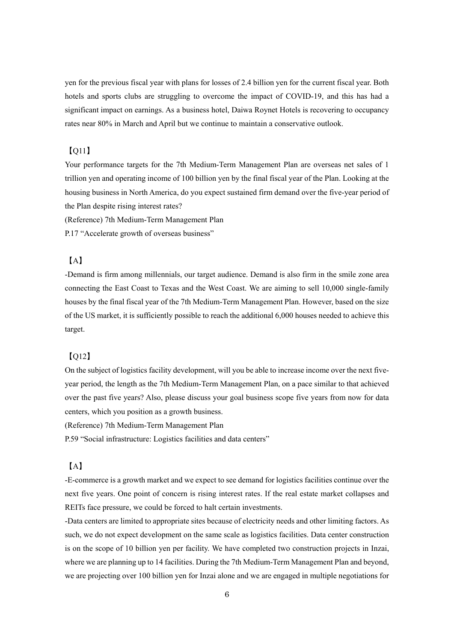yen for the previous fiscal year with plans for losses of 2.4 billion yen for the current fiscal year. Both hotels and sports clubs are struggling to overcome the impact of COVID-19, and this has had a significant impact on earnings. As a business hotel, Daiwa Roynet Hotels is recovering to occupancy rates near 80% in March and April but we continue to maintain a conservative outlook.

## 【Q11】

Your performance targets for the 7th Medium-Term Management Plan are overseas net sales of 1 trillion yen and operating income of 100 billion yen by the final fiscal year of the Plan. Looking at the housing business in North America, do you expect sustained firm demand over the five-year period of the Plan despite rising interest rates?

(Reference) 7th Medium-Term Management Plan

P.17 "Accelerate growth of overseas business"

#### 【A】

-Demand is firm among millennials, our target audience. Demand is also firm in the smile zone area connecting the East Coast to Texas and the West Coast. We are aiming to sell 10,000 single-family houses by the final fiscal year of the 7th Medium-Term Management Plan. However, based on the size of the US market, it is sufficiently possible to reach the additional 6,000 houses needed to achieve this target.

#### 【Q12】

On the subject of logistics facility development, will you be able to increase income over the next fiveyear period, the length as the 7th Medium-Term Management Plan, on a pace similar to that achieved over the past five years? Also, please discuss your goal business scope five years from now for data centers, which you position as a growth business.

(Reference) 7th Medium-Term Management Plan

P.59 "Social infrastructure: Logistics facilities and data centers"

## 【A】

-E-commerce is a growth market and we expect to see demand for logistics facilities continue over the next five years. One point of concern is rising interest rates. If the real estate market collapses and REITs face pressure, we could be forced to halt certain investments.

-Data centers are limited to appropriate sites because of electricity needs and other limiting factors. As such, we do not expect development on the same scale as logistics facilities. Data center construction is on the scope of 10 billion yen per facility. We have completed two construction projects in Inzai, where we are planning up to 14 facilities. During the 7th Medium-Term Management Plan and beyond, we are projecting over 100 billion yen for Inzai alone and we are engaged in multiple negotiations for